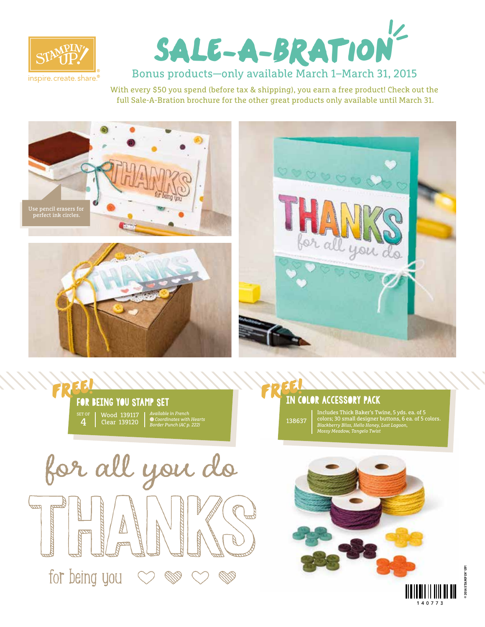



Bonus products—only available March 1–March 31, 2015

With every \$50 you spend (before tax & shipping), you earn a free product! Check out the full Sale-A-Bration brochure for the other great products only available until March 31.









## in color accessory pack FREE!

138637 Includes Thick Baker's Twine, 5 yds. ea. of 5 colors; 30 small designer buttons, 6 ea. of 5 colors. *Blackberry Bliss, Hello Honey, Lost Lagoon, Mossy Meadow, Tangelo Twist*